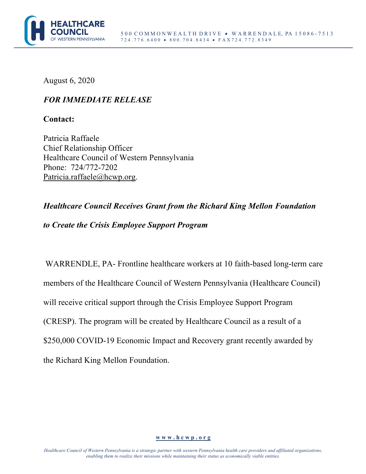

August 6, 2020

## *FOR IMMEDIATE RELEASE*

**Contact:** 

Patricia Raffaele Chief Relationship Officer Healthcare Council of Western Pennsylvania Phone: 724/772-7202 Patricia.raffaele@hcwp.org.

## *Healthcare Council Receives Grant from the Richard King Mellon Foundation to Create the Crisis Employee Support Program*

WARRENDLE, PA- Frontline healthcare workers at 10 faith-based long-term care members of the Healthcare Council of Western Pennsylvania (Healthcare Council) will receive critical support through the Crisis Employee Support Program (CRESP). The program will be created by Healthcare Council as a result of a \$250,000 COVID-19 Economic Impact and Recovery grant recently awarded by the Richard King Mellon Foundation.

## **w w w . h c w p . o r g**

*Healthcare Council of Western Pennsylvania is a strategic partner with western Pennsylvania health care providers and affiliated organizations, enabling them to realize their missions while maintaining their status as economically viable entities.*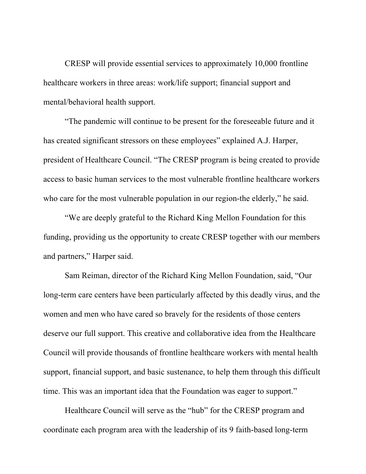CRESP will provide essential services to approximately 10,000 frontline healthcare workers in three areas: work/life support; financial support and mental/behavioral health support.

"The pandemic will continue to be present for the foreseeable future and it has created significant stressors on these employees" explained A.J. Harper, president of Healthcare Council. "The CRESP program is being created to provide access to basic human services to the most vulnerable frontline healthcare workers who care for the most vulnerable population in our region-the elderly," he said.

"We are deeply grateful to the Richard King Mellon Foundation for this funding, providing us the opportunity to create CRESP together with our members and partners," Harper said.

Sam Reiman, director of the Richard King Mellon Foundation, said, "Our long-term care centers have been particularly affected by this deadly virus, and the women and men who have cared so bravely for the residents of those centers deserve our full support. This creative and collaborative idea from the Healthcare Council will provide thousands of frontline healthcare workers with mental health support, financial support, and basic sustenance, to help them through this difficult time. This was an important idea that the Foundation was eager to support."

Healthcare Council will serve as the "hub" for the CRESP program and coordinate each program area with the leadership of its 9 faith-based long-term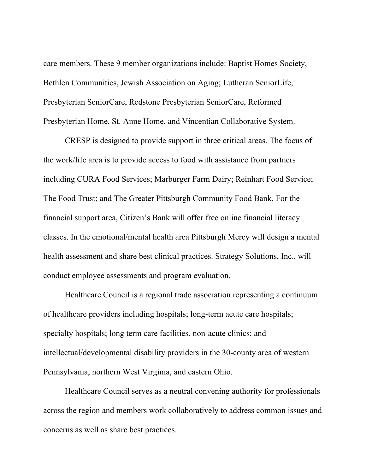care members. These 9 member organizations include: Baptist Homes Society, Bethlen Communities, Jewish Association on Aging; Lutheran SeniorLife, Presbyterian SeniorCare, Redstone Presbyterian SeniorCare, Reformed Presbyterian Home, St. Anne Home, and Vincentian Collaborative System.

CRESP is designed to provide support in three critical areas. The focus of the work/life area is to provide access to food with assistance from partners including CURA Food Services; Marburger Farm Dairy; Reinhart Food Service; The Food Trust; and The Greater Pittsburgh Community Food Bank. For the financial support area, Citizen's Bank will offer free online financial literacy classes. In the emotional/mental health area Pittsburgh Mercy will design a mental health assessment and share best clinical practices. Strategy Solutions, Inc., will conduct employee assessments and program evaluation.

Healthcare Council is a regional trade association representing a continuum of healthcare providers including hospitals; long-term acute care hospitals; specialty hospitals; long term care facilities, non-acute clinics; and intellectual/developmental disability providers in the 30-county area of western Pennsylvania, northern West Virginia, and eastern Ohio.

Healthcare Council serves as a neutral convening authority for professionals across the region and members work collaboratively to address common issues and concerns as well as share best practices.